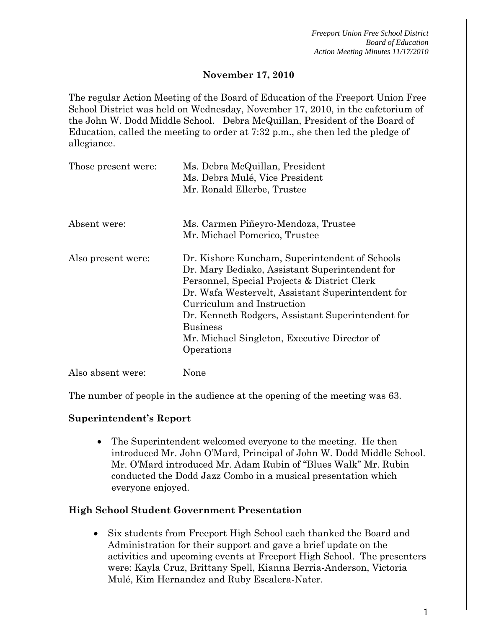#### **November 17, 2010**

The regular Action Meeting of the Board of Education of the Freeport Union Free School District was held on Wednesday, November 17, 2010, in the cafetorium of the John W. Dodd Middle School. Debra McQuillan, President of the Board of Education, called the meeting to order at 7:32 p.m., she then led the pledge of allegiance.

| Those present were: | Ms. Debra McQuillan, President<br>Ms. Debra Mulé, Vice President<br>Mr. Ronald Ellerbe, Trustee                                                                                                                                                                                                                                                                           |
|---------------------|---------------------------------------------------------------------------------------------------------------------------------------------------------------------------------------------------------------------------------------------------------------------------------------------------------------------------------------------------------------------------|
| Absent were:        | Ms. Carmen Piñeyro-Mendoza, Trustee<br>Mr. Michael Pomerico, Trustee                                                                                                                                                                                                                                                                                                      |
| Also present were:  | Dr. Kishore Kuncham, Superintendent of Schools<br>Dr. Mary Bediako, Assistant Superintendent for<br>Personnel, Special Projects & District Clerk<br>Dr. Wafa Westervelt, Assistant Superintendent for<br>Curriculum and Instruction<br>Dr. Kenneth Rodgers, Assistant Superintendent for<br><b>Business</b><br>Mr. Michael Singleton, Executive Director of<br>Operations |

Also absent were: None

The number of people in the audience at the opening of the meeting was 63.

#### **Superintendent's Report**

• The Superintendent welcomed everyone to the meeting. He then introduced Mr. John O'Mard, Principal of John W. Dodd Middle School. Mr. O'Mard introduced Mr. Adam Rubin of "Blues Walk" Mr. Rubin conducted the Dodd Jazz Combo in a musical presentation which everyone enjoyed.

#### **High School Student Government Presentation**

• Six students from Freeport High School each thanked the Board and Administration for their support and gave a brief update on the activities and upcoming events at Freeport High School. The presenters were: Kayla Cruz, Brittany Spell, Kianna Berria-Anderson, Victoria Mulé, Kim Hernandez and Ruby Escalera-Nater.

1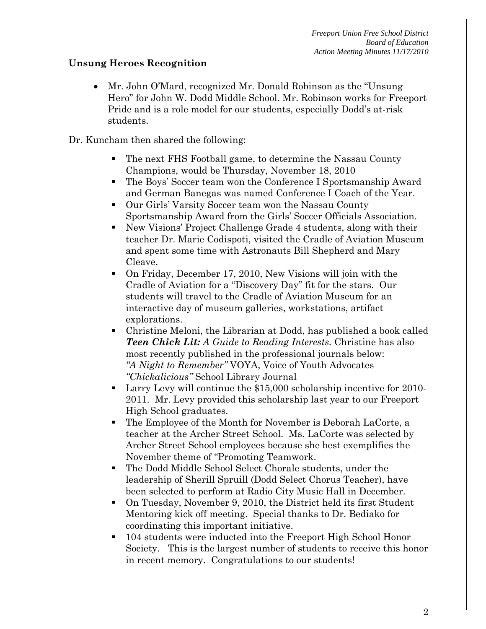## **Unsung Heroes Recognition**

• Mr. John O'Mard, recognized Mr. Donald Robinson as the "Unsung Hero" for John W. Dodd Middle School. Mr. Robinson works for Freeport Pride and is a role model for our students, especially Dodd's at-risk students.

Dr. Kuncham then shared the following:

- The next FHS Football game, to determine the Nassau County Champions, would be Thursday, November 18, 2010
- The Boys' Soccer team won the Conference I Sportsmanship Award and German Banegas was named Conference I Coach of the Year.
- Our Girls' Varsity Soccer team won the Nassau County Sportsmanship Award from the Girls' Soccer Officials Association.
- New Visions' Project Challenge Grade 4 students, along with their teacher Dr. Marie Codispoti, visited the Cradle of Aviation Museum and spent some time with Astronauts Bill Shepherd and Mary Cleave.
- On Friday, December 17, 2010, New Visions will join with the Cradle of Aviation for a "Discovery Day" fit for the stars. Our students will travel to the Cradle of Aviation Museum for an interactive day of museum galleries, workstations, artifact explorations.
- Christine Meloni, the Librarian at Dodd, has published a book called *Teen Chick Lit: A Guide to Reading Interests.* Christine has also most recently published in the professional journals below: *"A Night to Remember"* VOYA, Voice of Youth Advocates *"Chickalicious"* School Library Journal
- Larry Levy will continue the \$15,000 scholarship incentive for 2010- 2011. Mr. Levy provided this scholarship last year to our Freeport High School graduates.
- The Employee of the Month for November is Deborah LaCorte, a teacher at the Archer Street School. Ms. LaCorte was selected by Archer Street School employees because she best exemplifies the November theme of "Promoting Teamwork.
- The Dodd Middle School Select Chorale students, under the leadership of Sherill Spruill (Dodd Select Chorus Teacher), have been selected to perform at Radio City Music Hall in December.
- On Tuesday, November 9, 2010, the District held its first Student Mentoring kick off meeting. Special thanks to Dr. Bediako for coordinating this important initiative.
- 104 students were inducted into the Freeport High School Honor Society. This is the largest number of students to receive this honor in recent memory. Congratulations to our students!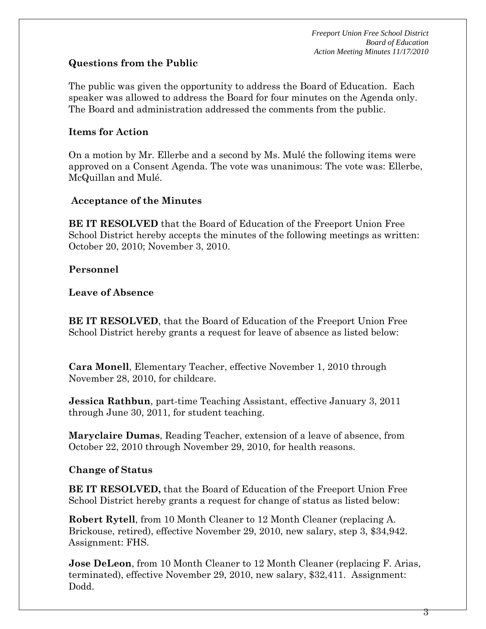## **Questions from the Public**

The public was given the opportunity to address the Board of Education. Each speaker was allowed to address the Board for four minutes on the Agenda only. The Board and administration addressed the comments from the public.

## **Items for Action**

On a motion by Mr. Ellerbe and a second by Ms. Mulé the following items were approved on a Consent Agenda. The vote was unanimous: The vote was: Ellerbe, McQuillan and Mulé.

## **Acceptance of the Minutes**

**BE IT RESOLVED** that the Board of Education of the Freeport Union Free School District hereby accepts the minutes of the following meetings as written: October 20, 2010; November 3, 2010.

## **Personnel**

#### **Leave of Absence**

**BE IT RESOLVED**, that the Board of Education of the Freeport Union Free School District hereby grants a request for leave of absence as listed below:

**Cara Monell**, Elementary Teacher, effective November 1, 2010 through November 28, 2010, for childcare.

**Jessica Rathbun**, part-time Teaching Assistant, effective January 3, 2011 through June 30, 2011, for student teaching.

**Maryclaire Dumas**, Reading Teacher, extension of a leave of absence, from October 22, 2010 through November 29, 2010, for health reasons.

## **Change of Status**

**BE IT RESOLVED,** that the Board of Education of the Freeport Union Free School District hereby grants a request for change of status as listed below:

**Robert Rytell**, from 10 Month Cleaner to 12 Month Cleaner (replacing A. Brickouse, retired), effective November 29, 2010, new salary, step 3, \$34,942. Assignment: FHS.

**Jose DeLeon**, from 10 Month Cleaner to 12 Month Cleaner (replacing F. Arias, terminated), effective November 29, 2010, new salary, \$32,411. Assignment: Dodd.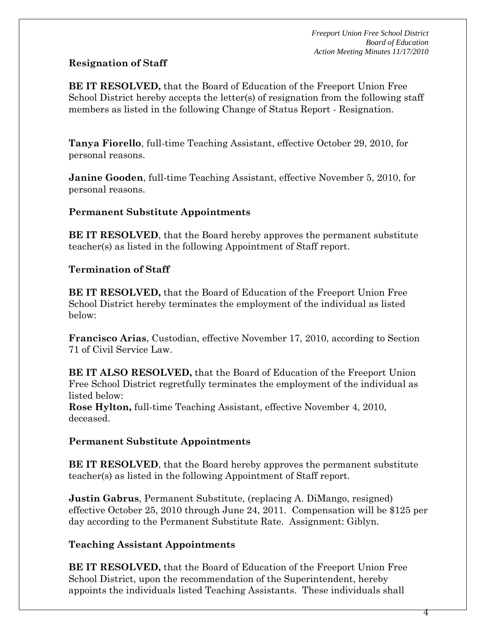## **Resignation of Staff**

**BE IT RESOLVED,** that the Board of Education of the Freeport Union Free School District hereby accepts the letter(s) of resignation from the following staff members as listed in the following Change of Status Report - Resignation.

**Tanya Fiorello**, full-time Teaching Assistant, effective October 29, 2010, for personal reasons.

**Janine Gooden**, full-time Teaching Assistant, effective November 5, 2010, for personal reasons.

## **Permanent Substitute Appointments**

**BE IT RESOLVED**, that the Board hereby approves the permanent substitute teacher(s) as listed in the following Appointment of Staff report.

## **Termination of Staff**

**BE IT RESOLVED,** that the Board of Education of the Freeport Union Free School District hereby terminates the employment of the individual as listed below:

**Francisco Arias**, Custodian, effective November 17, 2010, according to Section 71 of Civil Service Law.

**BE IT ALSO RESOLVED,** that the Board of Education of the Freeport Union Free School District regretfully terminates the employment of the individual as listed below:

**Rose Hylton,** full-time Teaching Assistant, effective November 4, 2010, deceased.

## **Permanent Substitute Appointments**

**BE IT RESOLVED**, that the Board hereby approves the permanent substitute teacher(s) as listed in the following Appointment of Staff report.

**Justin Gabrus**, Permanent Substitute, (replacing A. DiMango, resigned) effective October 25, 2010 through June 24, 2011. Compensation will be \$125 per day according to the Permanent Substitute Rate. Assignment: Giblyn.

## **Teaching Assistant Appointments**

**BE IT RESOLVED,** that the Board of Education of the Freeport Union Free School District, upon the recommendation of the Superintendent, hereby appoints the individuals listed Teaching Assistants. These individuals shall

4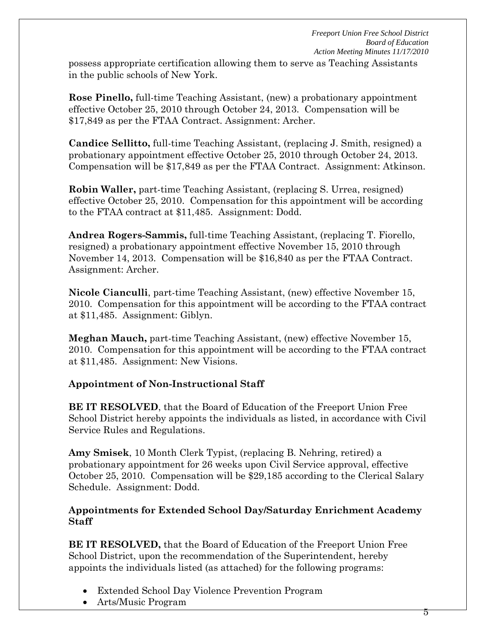possess appropriate certification allowing them to serve as Teaching Assistants in the public schools of New York.

**Rose Pinello,** full-time Teaching Assistant, (new) a probationary appointment effective October 25, 2010 through October 24, 2013. Compensation will be \$17,849 as per the FTAA Contract. Assignment: Archer.

**Candice Sellitto,** full-time Teaching Assistant, (replacing J. Smith, resigned) a probationary appointment effective October 25, 2010 through October 24, 2013. Compensation will be \$17,849 as per the FTAA Contract. Assignment: Atkinson.

**Robin Waller,** part-time Teaching Assistant, (replacing S. Urrea, resigned) effective October 25, 2010. Compensation for this appointment will be according to the FTAA contract at \$11,485. Assignment: Dodd.

**Andrea Rogers-Sammis,** full-time Teaching Assistant, (replacing T. Fiorello, resigned) a probationary appointment effective November 15, 2010 through November 14, 2013. Compensation will be \$16,840 as per the FTAA Contract. Assignment: Archer.

**Nicole Cianculli**, part-time Teaching Assistant, (new) effective November 15, 2010. Compensation for this appointment will be according to the FTAA contract at \$11,485. Assignment: Giblyn.

**Meghan Mauch,** part-time Teaching Assistant, (new) effective November 15, 2010. Compensation for this appointment will be according to the FTAA contract at \$11,485. Assignment: New Visions.

## **Appointment of Non-Instructional Staff**

**BE IT RESOLVED**, that the Board of Education of the Freeport Union Free School District hereby appoints the individuals as listed, in accordance with Civil Service Rules and Regulations.

**Amy Smisek**, 10 Month Clerk Typist, (replacing B. Nehring, retired) a probationary appointment for 26 weeks upon Civil Service approval, effective October 25, 2010. Compensation will be \$29,185 according to the Clerical Salary Schedule. Assignment: Dodd.

## **Appointments for Extended School Day/Saturday Enrichment Academy Staff**

**BE IT RESOLVED,** that the Board of Education of the Freeport Union Free School District, upon the recommendation of the Superintendent, hereby appoints the individuals listed (as attached) for the following programs:

- Extended School Day Violence Prevention Program
- Arts/Music Program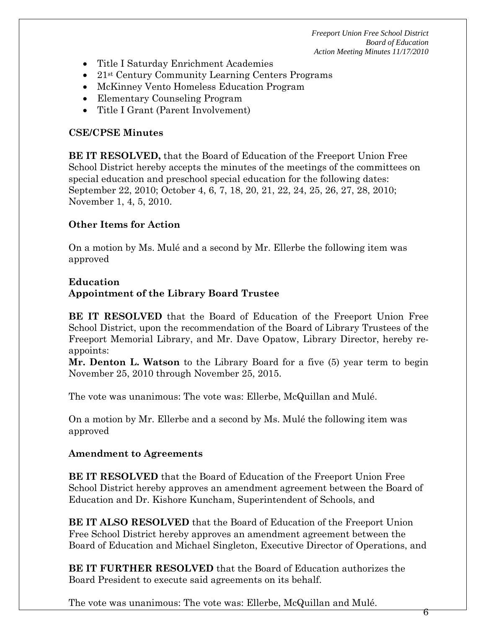- Title I Saturday Enrichment Academies
- 21st Century Community Learning Centers Programs
- McKinney Vento Homeless Education Program
- Elementary Counseling Program
- Title I Grant (Parent Involvement)

#### **CSE/CPSE Minutes**

**BE IT RESOLVED,** that the Board of Education of the Freeport Union Free School District hereby accepts the minutes of the meetings of the committees on special education and preschool special education for the following dates: September 22, 2010; October 4, 6, 7, 18, 20, 21, 22, 24, 25, 26, 27, 28, 2010; November 1, 4, 5, 2010.

## **Other Items for Action**

On a motion by Ms. Mulé and a second by Mr. Ellerbe the following item was approved

## **Education**

## **Appointment of the Library Board Trustee**

**BE IT RESOLVED** that the Board of Education of the Freeport Union Free School District, upon the recommendation of the Board of Library Trustees of the Freeport Memorial Library, and Mr. Dave Opatow, Library Director, hereby reappoints:

**Mr. Denton L. Watson** to the Library Board for a five (5) year term to begin November 25, 2010 through November 25, 2015.

The vote was unanimous: The vote was: Ellerbe, McQuillan and Mulé.

On a motion by Mr. Ellerbe and a second by Ms. Mulé the following item was approved

## **Amendment to Agreements**

**BE IT RESOLVED** that the Board of Education of the Freeport Union Free School District hereby approves an amendment agreement between the Board of Education and Dr. Kishore Kuncham, Superintendent of Schools, and

**BE IT ALSO RESOLVED** that the Board of Education of the Freeport Union Free School District hereby approves an amendment agreement between the Board of Education and Michael Singleton, Executive Director of Operations, and

**BE IT FURTHER RESOLVED** that the Board of Education authorizes the Board President to execute said agreements on its behalf.

The vote was unanimous: The vote was: Ellerbe, McQuillan and Mulé.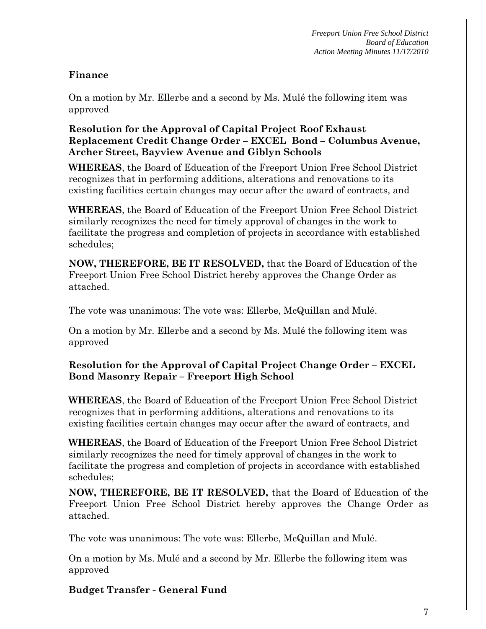$\mathcal{L}$ 

#### **Finance**

On a motion by Mr. Ellerbe and a second by Ms. Mulé the following item was approved

## **Resolution for the Approval of Capital Project Roof Exhaust Replacement Credit Change Order – EXCEL Bond – Columbus Avenue, Archer Street, Bayview Avenue and Giblyn Schools**

**WHEREAS**, the Board of Education of the Freeport Union Free School District recognizes that in performing additions, alterations and renovations to its existing facilities certain changes may occur after the award of contracts, and

**WHEREAS**, the Board of Education of the Freeport Union Free School District similarly recognizes the need for timely approval of changes in the work to facilitate the progress and completion of projects in accordance with established schedules;

**NOW, THEREFORE, BE IT RESOLVED,** that the Board of Education of the Freeport Union Free School District hereby approves the Change Order as attached.

The vote was unanimous: The vote was: Ellerbe, McQuillan and Mulé.

On a motion by Mr. Ellerbe and a second by Ms. Mulé the following item was approved

**Resolution for the Approval of Capital Project Change Order – EXCEL Bond Masonry Repair – Freeport High School** 

**WHEREAS**, the Board of Education of the Freeport Union Free School District recognizes that in performing additions, alterations and renovations to its existing facilities certain changes may occur after the award of contracts, and

**WHEREAS**, the Board of Education of the Freeport Union Free School District similarly recognizes the need for timely approval of changes in the work to facilitate the progress and completion of projects in accordance with established schedules;

**NOW, THEREFORE, BE IT RESOLVED,** that the Board of Education of the Freeport Union Free School District hereby approves the Change Order as attached.

The vote was unanimous: The vote was: Ellerbe, McQuillan and Mulé.

On a motion by Ms. Mulé and a second by Mr. Ellerbe the following item was approved

**Budget Transfer - General Fund**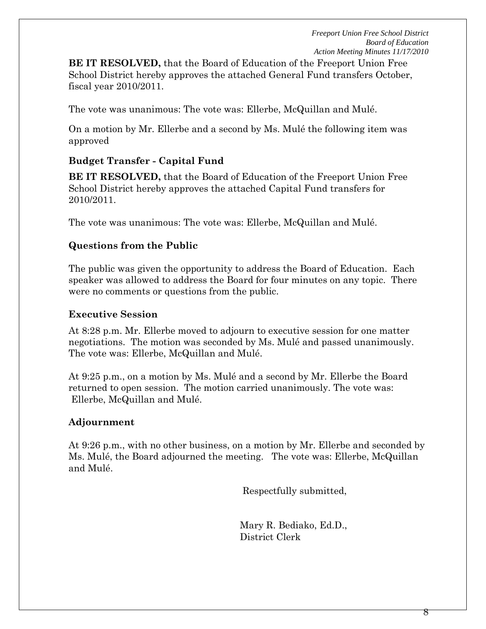**BE IT RESOLVED,** that the Board of Education of the Freeport Union Free School District hereby approves the attached General Fund transfers October, fiscal year 2010/2011.

The vote was unanimous: The vote was: Ellerbe, McQuillan and Mulé.

On a motion by Mr. Ellerbe and a second by Ms. Mulé the following item was approved

## **Budget Transfer - Capital Fund**

**BE IT RESOLVED,** that the Board of Education of the Freeport Union Free School District hereby approves the attached Capital Fund transfers for 2010/2011.

The vote was unanimous: The vote was: Ellerbe, McQuillan and Mulé.

## **Questions from the Public**

The public was given the opportunity to address the Board of Education. Each speaker was allowed to address the Board for four minutes on any topic. There were no comments or questions from the public.

#### **Executive Session**

At 8:28 p.m. Mr. Ellerbe moved to adjourn to executive session for one matter negotiations. The motion was seconded by Ms. Mulé and passed unanimously. The vote was: Ellerbe, McQuillan and Mulé.

At 9:25 p.m., on a motion by Ms. Mulé and a second by Mr. Ellerbe the Board returned to open session. The motion carried unanimously. The vote was: Ellerbe, McQuillan and Mulé.

#### **Adjournment**

At 9:26 p.m., with no other business, on a motion by Mr. Ellerbe and seconded by Ms. Mulé, the Board adjourned the meeting. The vote was: Ellerbe, McQuillan and Mulé.

Respectfully submitted,

Mary R. Bediako, Ed.D., District Clerk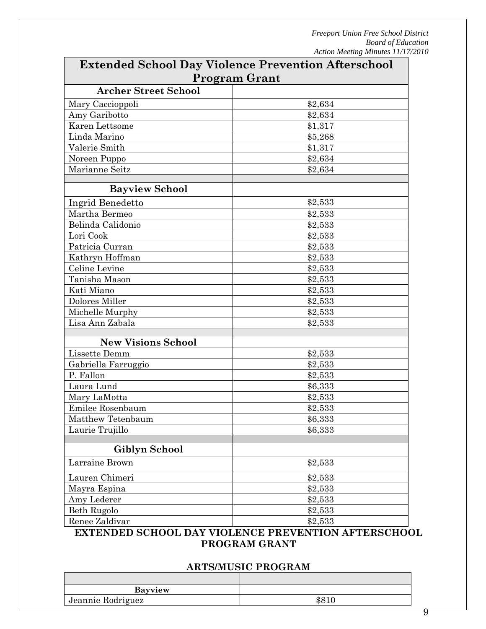| <b>Extended School Day Violence Prevention Afterschool</b> |         |  |
|------------------------------------------------------------|---------|--|
| <b>Program Grant</b>                                       |         |  |
| <b>Archer Street School</b>                                |         |  |
| Mary Caccioppoli                                           | \$2,634 |  |
| Amy Garibotto                                              | \$2,634 |  |
| Karen Lettsome                                             | \$1,317 |  |
| Linda Marino                                               | \$5,268 |  |
| Valerie Smith                                              | \$1,317 |  |
| Noreen Puppo                                               | \$2,634 |  |
| Marianne Seitz                                             | \$2,634 |  |
| <b>Bayview School</b>                                      |         |  |
|                                                            |         |  |
| Ingrid Benedetto                                           | \$2,533 |  |
| Martha Bermeo                                              | \$2,533 |  |
| Belinda Calidonio                                          | \$2,533 |  |
| Lori Cook                                                  | \$2,533 |  |
| Patricia Curran                                            | \$2,533 |  |
| Kathryn Hoffman                                            | \$2,533 |  |
| Celine Levine                                              | \$2,533 |  |
| Tanisha Mason                                              | \$2,533 |  |
| Kati Miano                                                 | \$2,533 |  |
| Dolores Miller                                             | \$2,533 |  |
| Michelle Murphy                                            | \$2,533 |  |
| Lisa Ann Zabala                                            | \$2,533 |  |
| <b>New Visions School</b>                                  |         |  |
| Lissette Demm                                              | \$2,533 |  |
| Gabriella Farruggio                                        | \$2,533 |  |
| P. Fallon                                                  | \$2,533 |  |
| Laura Lund                                                 | \$6,333 |  |
| Mary LaMotta                                               | \$2,533 |  |
| Emilee Rosenbaum                                           | \$2,533 |  |
| Matthew Tetenbaum                                          | \$6,333 |  |
| Laurie Trujillo                                            | \$6,333 |  |
|                                                            |         |  |
| Giblyn School                                              |         |  |
| Larraine Brown                                             | \$2,533 |  |
| Lauren Chimeri                                             | \$2,533 |  |
| Mayra Espina                                               | \$2,533 |  |
| Amy Lederer                                                | \$2,533 |  |
| Beth Rugolo                                                | \$2,533 |  |
| Renee Zaldivar                                             | \$2,533 |  |

## **EXTENDED SCHOOL DAY VIOLENCE PREVENTION AFTERSCHOOL PROGRAM GRANT**

#### **ARTS/MUSIC PROGRAM**

| <b>Bayview</b>    |  |
|-------------------|--|
| Jeannie Rodriguez |  |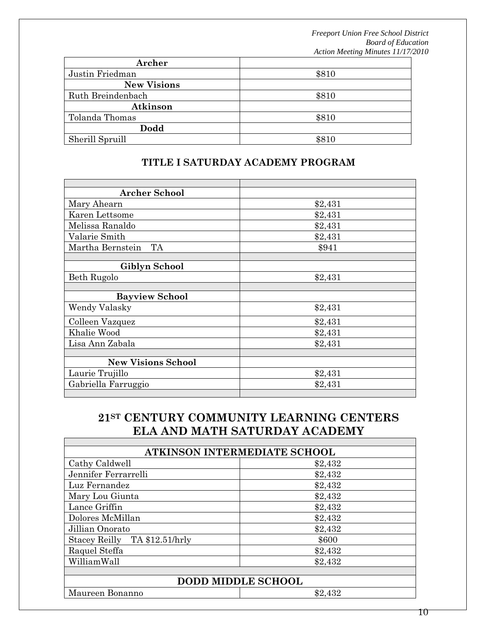| Archer             |       |
|--------------------|-------|
| Justin Friedman    | \$810 |
| <b>New Visions</b> |       |
| Ruth Breindenbach  | \$810 |
| Atkinson           |       |
| Tolanda Thomas     | \$810 |
| Dodd               |       |
| Sherill Spruill    | \$810 |

| <b>Archer School</b>      |         |
|---------------------------|---------|
| Mary Ahearn               | \$2,431 |
| Karen Lettsome            | \$2,431 |
| Melissa Ranaldo           | \$2,431 |
| Valarie Smith             | \$2,431 |
| Martha Bernstein<br>TA    | \$941   |
|                           |         |
| Giblyn School             |         |
| Beth Rugolo               | \$2,431 |
|                           |         |
| <b>Bayview School</b>     |         |
| Wendy Valasky             | \$2,431 |
| Colleen Vazquez           | \$2,431 |
| Khalie Wood               | \$2,431 |
| Lisa Ann Zabala           | \$2,431 |
|                           |         |
| <b>New Visions School</b> |         |
| Laurie Trujillo           | \$2,431 |
| Gabriella Farruggio       | \$2,431 |
|                           |         |

## **TITLE I SATURDAY ACADEMY PROGRAM**

## **21ST CENTURY COMMUNITY LEARNING CENTERS ELA AND MATH SATURDAY ACADEMY**

| ATKINSON INTERMEDIATE SCHOOL |  |  |
|------------------------------|--|--|
| \$2,432                      |  |  |
| \$2,432                      |  |  |
| \$2,432                      |  |  |
| \$2,432                      |  |  |
| \$2,432                      |  |  |
| \$2,432                      |  |  |
| \$2,432                      |  |  |
| \$600                        |  |  |
| \$2,432                      |  |  |
| \$2,432                      |  |  |
|                              |  |  |
| <b>DODD MIDDLE SCHOOL</b>    |  |  |
| \$2,432                      |  |  |
|                              |  |  |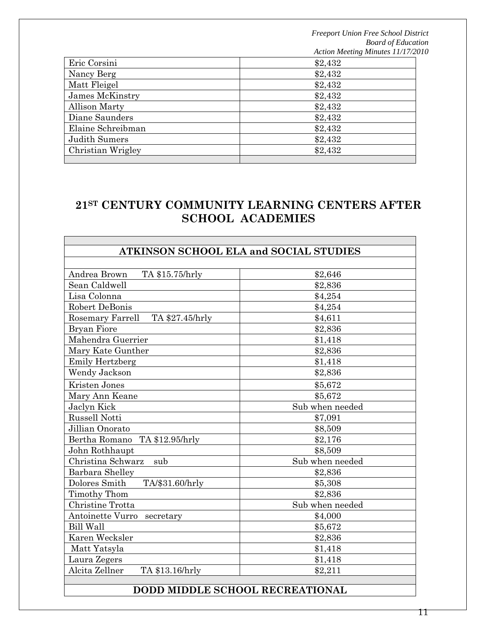| Eric Corsini         | \$2,432 |
|----------------------|---------|
| Nancy Berg           | \$2,432 |
| Matt Fleigel         | \$2,432 |
| James McKinstry      | \$2,432 |
| <b>Allison Marty</b> | \$2,432 |
| Diane Saunders       | \$2,432 |
| Elaine Schreibman    | \$2,432 |
| Judith Sumers        | \$2,432 |
| Christian Wrigley    | \$2,432 |
|                      |         |

# **21ST CENTURY COMMUNITY LEARNING CENTERS AFTER SCHOOL ACADEMIES**

| <b>ATKINSON SCHOOL ELA and SOCIAL STUDIES</b> |                 |
|-----------------------------------------------|-----------------|
|                                               |                 |
| Andrea Brown<br>TA \$15.75/hrly               | \$2,646         |
| Sean Caldwell                                 | \$2,836         |
| Lisa Colonna                                  | \$4,254         |
| Robert DeBonis                                | \$4,254         |
| Rosemary Farrell<br>TA \$27.45/hrly           | \$4,611         |
| Bryan Fiore                                   | \$2,836         |
| Mahendra Guerrier                             | \$1,418         |
| Mary Kate Gunther                             | \$2,836         |
| <b>Emily Hertzberg</b>                        | \$1,418         |
| Wendy Jackson                                 | \$2,836         |
| Kristen Jones                                 | \$5,672         |
| Mary Ann Keane                                | \$5,672         |
| Jaclyn Kick                                   | Sub when needed |
| Russell Notti                                 | \$7,091         |
| Jillian Onorato                               | \$8,509         |
| Bertha Romano<br>TA \$12.95/hrly              | \$2,176         |
| John Rothhaupt                                | \$8,509         |
| Christina Schwarz<br>sub                      | Sub when needed |
| Barbara Shelley                               | \$2,836         |
| Dolores Smith<br>TA/\$31.60/hrly              | \$5,308         |
| Timothy Thom                                  | \$2,836         |
| Christine Trotta                              | Sub when needed |
| Antoinette Vurro secretary                    | \$4,000         |
| <b>Bill Wall</b>                              | \$5,672         |
| Karen Wecksler                                | \$2,836         |
| Matt Yatsyla                                  | \$1,418         |
| Laura Zegers                                  | \$1,418         |
| Alcita Zellner<br>TA \$13.16/hrly             | \$2,211         |
|                                               |                 |

## **DODD MIDDLE SCHOOL RECREATIONAL**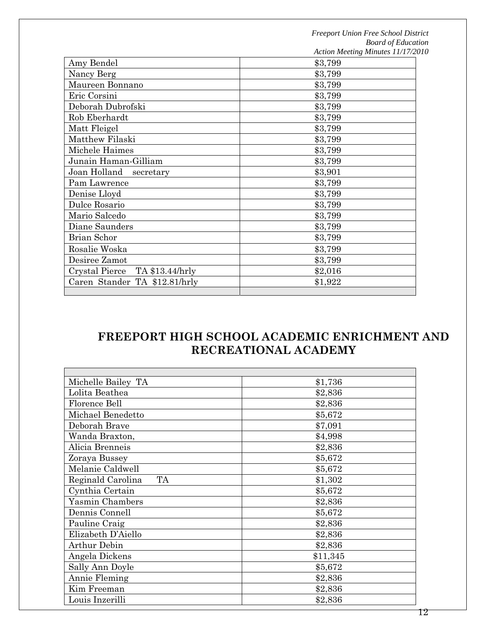|                                   | Action meeting minutes $11/17/2$ |
|-----------------------------------|----------------------------------|
| Amy Bendel                        | \$3,799                          |
| Nancy Berg                        | \$3,799                          |
| Maureen Bonnano                   | \$3,799                          |
| Eric Corsini                      | \$3,799                          |
| Deborah Dubrofski                 | \$3,799                          |
| Rob Eberhardt                     | \$3,799                          |
| Matt Fleigel                      | \$3,799                          |
| Matthew Filaski                   | \$3,799                          |
| Michele Haimes                    | \$3,799                          |
| Junain Haman-Gilliam              | \$3,799                          |
| Joan Holland<br>secretary         | \$3,901                          |
| Pam Lawrence                      | \$3,799                          |
| Denise Lloyd                      | \$3,799                          |
| Dulce Rosario                     | \$3,799                          |
| Mario Salcedo                     | \$3,799                          |
| Diane Saunders                    | \$3,799                          |
| Brian Schor                       | \$3,799                          |
| Rosalie Woska                     | \$3,799                          |
| Desiree Zamot                     | \$3,799                          |
| Crystal Pierce<br>TA \$13.44/hrly | \$2,016                          |
| Caren Stander TA \$12.81/hrly     | \$1,922                          |
|                                   |                                  |

## **FREEPORT HIGH SCHOOL ACADEMIC ENRICHMENT AND RECREATIONAL ACADEMY**

| Michelle Bailey TA             | \$1,736  |
|--------------------------------|----------|
| Lolita Beathea                 | \$2,836  |
| Florence Bell                  | \$2,836  |
| Michael Benedetto              | \$5,672  |
| Deborah Brave                  | \$7,091  |
| Wanda Braxton,                 | \$4,998  |
| Alicia Brenneis                | \$2,836  |
| Zoraya Bussey                  | \$5,672  |
| Melanie Caldwell               | \$5,672  |
| <b>TA</b><br>Reginald Carolina | \$1,302  |
| Cynthia Certain                | \$5,672  |
| Yasmin Chambers                | \$2,836  |
| Dennis Connell                 | \$5,672  |
| Pauline Craig                  | \$2,836  |
| Elizabeth D'Aiello             | \$2,836  |
| <b>Arthur Debin</b>            | \$2,836  |
| Angela Dickens                 | \$11,345 |
| Sally Ann Doyle                | \$5,672  |
| Annie Fleming                  | \$2,836  |
| Kim Freeman                    | \$2,836  |
| Louis Inzerilli                | \$2,836  |
|                                |          |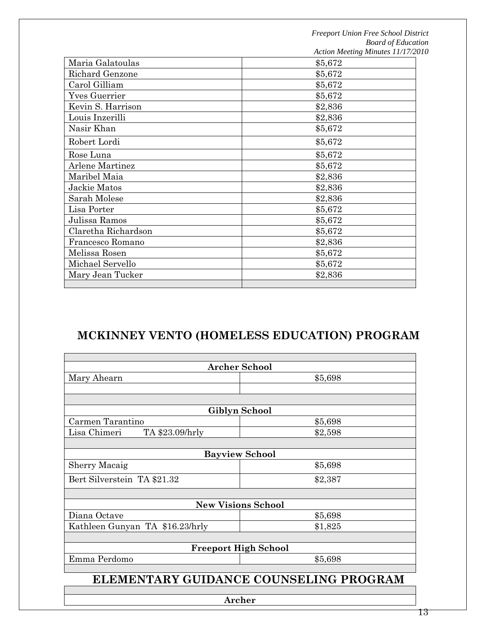|                        | Action meeting minutes 11/1/2 |
|------------------------|-------------------------------|
| Maria Galatoulas       | \$5,672                       |
| <b>Richard Genzone</b> | \$5,672                       |
| Carol Gilliam          | \$5,672                       |
| <b>Yves Guerrier</b>   | \$5,672                       |
| Kevin S. Harrison      | \$2,836                       |
| Louis Inzerilli        | \$2,836                       |
| Nasir Khan             | \$5,672                       |
| Robert Lordi           | \$5,672                       |
| Rose Luna              | \$5,672                       |
| Arlene Martinez        | \$5,672                       |
| Maribel Maia           | \$2,836                       |
| Jackie Matos           | \$2,836                       |
| Sarah Molese           | \$2,836                       |
| Lisa Porter            | \$5,672                       |
| Julissa Ramos          | \$5,672                       |
| Claretha Richardson    | \$5,672                       |
| Francesco Romano       | \$2,836                       |
| Melissa Rosen          | \$5,672                       |
| Michael Servello       | \$5,672                       |
| Mary Jean Tucker       | \$2,836                       |
|                        |                               |

# **MCKINNEY VENTO (HOMELESS EDUCATION) PROGRAM**

| <b>Archer School</b>                   |               |  |  |
|----------------------------------------|---------------|--|--|
| Mary Ahearn                            | \$5,698       |  |  |
|                                        |               |  |  |
|                                        |               |  |  |
|                                        | Giblyn School |  |  |
| Carmen Tarantino                       | \$5,698       |  |  |
| Lisa Chimeri<br>TA \$23.09/hrly        | \$2,598       |  |  |
|                                        |               |  |  |
| <b>Bayview School</b>                  |               |  |  |
| Sherry Macaig                          | \$5,698       |  |  |
| Bert Silverstein TA \$21.32            | \$2,387       |  |  |
|                                        |               |  |  |
| <b>New Visions School</b>              |               |  |  |
| Diana Octave                           | \$5,698       |  |  |
| Kathleen Gunyan TA \$16.23/hrly        | \$1,825       |  |  |
|                                        |               |  |  |
| <b>Freeport High School</b>            |               |  |  |
| Emma Perdomo                           | \$5,698       |  |  |
|                                        |               |  |  |
| ELEMENTARY GUIDANCE COUNSELING PROGRAM |               |  |  |
|                                        |               |  |  |
| Archer                                 |               |  |  |

13